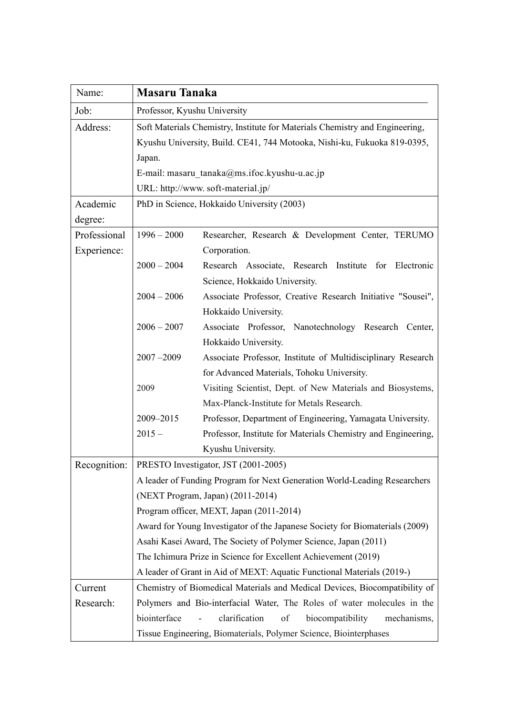| Name:        | <b>Masaru Tanaka</b>                                                                                                                                               |                                                                         |
|--------------|--------------------------------------------------------------------------------------------------------------------------------------------------------------------|-------------------------------------------------------------------------|
| Job:         | Professor, Kyushu University                                                                                                                                       |                                                                         |
| Address:     | Soft Materials Chemistry, Institute for Materials Chemistry and Engineering,<br>Kyushu University, Build. CE41, 744 Motooka, Nishi-ku, Fukuoka 819-0395,<br>Japan. |                                                                         |
|              |                                                                                                                                                                    |                                                                         |
|              |                                                                                                                                                                    |                                                                         |
|              | E-mail: masaru tanaka@ms.ifoc.kyushu-u.ac.jp                                                                                                                       |                                                                         |
|              | URL: http://www.soft-material.jp/                                                                                                                                  |                                                                         |
| Academic     | PhD in Science, Hokkaido University (2003)                                                                                                                         |                                                                         |
| degree:      |                                                                                                                                                                    |                                                                         |
| Professional | $1996 - 2000$                                                                                                                                                      | Researcher, Research & Development Center, TERUMO                       |
| Experience:  |                                                                                                                                                                    | Corporation.                                                            |
|              | $2000 - 2004$                                                                                                                                                      | Research Associate, Research Institute for Electronic                   |
|              |                                                                                                                                                                    | Science, Hokkaido University.                                           |
|              | $2004 - 2006$                                                                                                                                                      | Associate Professor, Creative Research Initiative "Sousei",             |
|              |                                                                                                                                                                    | Hokkaido University.                                                    |
|              | $2006 - 2007$                                                                                                                                                      | Associate Professor, Nanotechnology Research Center,                    |
|              |                                                                                                                                                                    | Hokkaido University.                                                    |
|              | $2007 - 2009$                                                                                                                                                      | Associate Professor, Institute of Multidisciplinary Research            |
|              |                                                                                                                                                                    | for Advanced Materials, Tohoku University.                              |
|              | 2009                                                                                                                                                               | Visiting Scientist, Dept. of New Materials and Biosystems,              |
|              |                                                                                                                                                                    | Max-Planck-Institute for Metals Research.                               |
|              | 2009-2015                                                                                                                                                          | Professor, Department of Engineering, Yamagata University.              |
|              | $2015 -$                                                                                                                                                           | Professor, Institute for Materials Chemistry and Engineering,           |
|              |                                                                                                                                                                    | Kyushu University.                                                      |
| Recognition: | PRESTO Investigator, JST (2001-2005)                                                                                                                               |                                                                         |
|              | A leader of Funding Program for Next Generation World-Leading Researchers                                                                                          |                                                                         |
|              | (NEXT Program, Japan) (2011-2014)                                                                                                                                  |                                                                         |
|              | Program officer, MEXT, Japan (2011-2014)                                                                                                                           |                                                                         |
|              | Award for Young Investigator of the Japanese Society for Biomaterials (2009)                                                                                       |                                                                         |
|              | Asahi Kasei Award, The Society of Polymer Science, Japan (2011)                                                                                                    |                                                                         |
|              | The Ichimura Prize in Science for Excellent Achievement (2019)                                                                                                     |                                                                         |
|              | A leader of Grant in Aid of MEXT: Aquatic Functional Materials (2019-)                                                                                             |                                                                         |
| Current      | Chemistry of Biomedical Materials and Medical Devices, Biocompatibility of                                                                                         |                                                                         |
| Research:    |                                                                                                                                                                    | Polymers and Bio-interfacial Water, The Roles of water molecules in the |
|              | biointerface                                                                                                                                                       | clarification<br>of<br>biocompatibility<br>mechanisms,                  |
|              |                                                                                                                                                                    | Tissue Engineering, Biomaterials, Polymer Science, Biointerphases       |